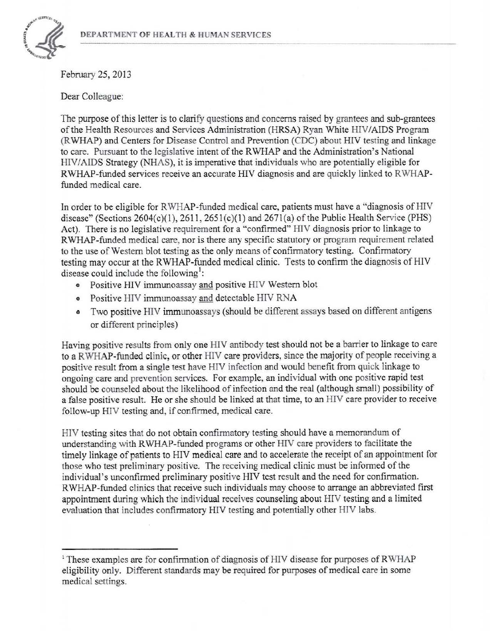

February 25, 2013

Dear Colleague:

The purpose of this letter is to clarify questions and concerns raised by grantees and sub-grantees of the Health Resources and Services Administration (HRSA) Ryan White HIV/AIDS Program (R WHAP) and Centers for Disease Control and Prevention (CDC) about HIV testing and linkage to care. Pursuant to the legislative intent of the RWHAP and the Administration's National HIV/A IDS Strategy (NHAS), it is imperative that individuals who are potentially eligible for RWHAP-funded services receive an accurate HIV diagnosis and are quickly linked to RWHAPfunded medical care.

In order to be eligible for R WHAP-funded medical care, patients must have a "diagnosis of HIV disease" (Sections  $2604(c)(1)$ ,  $2611$ ,  $2651(c)(1)$  and  $2671(a)$  of the Public Health Service (PHS) Act). There is no legislative requirement for a "confirmed" HIV diagnosis prior to linkage to RWHAP-funded medical care, nor is there any specific statutory or program requirement related to the use of Western blot testing as the only means of confirmatory testing. Confirmatory testing may occur at the RWHAP-funded medical clinic. Tests to confirm the diagnosis of HIV disease could include the following<sup>1</sup>:

- Positive HIV immunoassay and positive HIV Western blot
- Positive HIV immunoassay and detectable HIV RNA
- Two positive HIV immunoassays (should be different assays based on different antigens or different principles)

Having positive results from only one HIV antibody test should not be a barrier to linkage to care to a RWHAP-funded clinic, or other HIV care providers, since the majority of people receiving a positive result from a single test have HIV infection and would benefit from quick linkage to ongoing care and prevention services. For example, an individual with one positive rapid test should be counseled about the likelihood of infection and the real (although small) possibility of a false positive result. He or she should be linked at that time, to an HIV care provider to receive follow-up HIV testing and, if confirmed, medical care.

HIV testing sites that do not obtain confirmatory testing should have a memorandum of understanding with RWHAP-funded programs or other HIV care providers to facilitate the timely linkage of patients to HIV medical care and to accelerate the receipt of an appointment for those who test preliminary positive. The receiving medical clinic must be informed of the individual's unconfirmed preliminary positive HIV test result and the need for confirmation. R WHAP-funded clinics that receive such individuals may choose to arrange an abbreviated first appointment during which the individual receives counseling about HIV testing and a limited evaluation that includes confirmatory HIV testing and potentially other HIV labs.

<sup>&</sup>lt;sup>1</sup> These examples are for confirmation of diagnosis of HIV disease for purposes of RWHAP eligibility only. Different standards may be required for purposes of medical care in some medical settings.